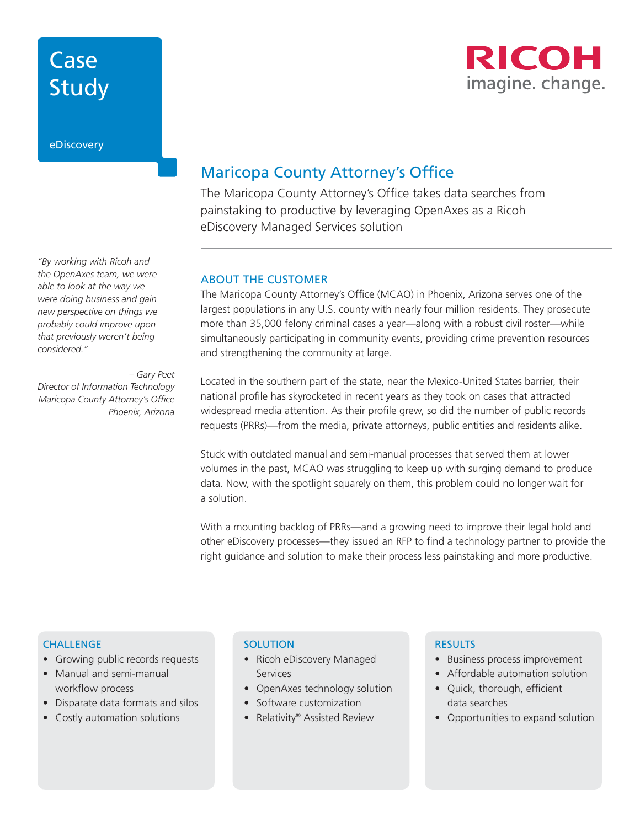# Case Study



eDiscovery

*"By working with Ricoh and the OpenAxes team, we were able to look at the way we were doing business and gain new perspective on things we probably could improve upon that previously weren't being considered."* 

*– Gary Peet Director of Information Technology Maricopa County Attorney's Office Phoenix, Arizona*

### Maricopa County Attorney's Office

The Maricopa County Attorney's Office takes data searches from painstaking to productive by leveraging OpenAxes as a Ricoh eDiscovery Managed Services solution

### ABOUT THE CUSTOMER

The Maricopa County Attorney's Office (MCAO) in Phoenix, Arizona serves one of the largest populations in any U.S. county with nearly four million residents. They prosecute more than 35,000 felony criminal cases a year—along with a robust civil roster—while simultaneously participating in community events, providing crime prevention resources and strengthening the community at large.

Located in the southern part of the state, near the Mexico-United States barrier, their national profile has skyrocketed in recent years as they took on cases that attracted widespread media attention. As their profile grew, so did the number of public records requests (PRRs)—from the media, private attorneys, public entities and residents alike.

Stuck with outdated manual and semi-manual processes that served them at lower volumes in the past, MCAO was struggling to keep up with surging demand to produce data. Now, with the spotlight squarely on them, this problem could no longer wait for a solution.

With a mounting backlog of PRRs—and a growing need to improve their legal hold and other eDiscovery processes—they issued an RFP to find a technology partner to provide the right guidance and solution to make their process less painstaking and more productive.

### **CHALLENGE**

- Growing public records requests
- Manual and semi-manual workflow process
- Disparate data formats and silos
- Costly automation solutions

#### **SOLUTION**

- Ricoh eDiscovery Managed **Services**
- OpenAxes technology solution
- Software customization
- Relativity® Assisted Review

#### **RESULTS**

- Business process improvement
- Affordable automation solution
- Quick, thorough, efficient data searches
- Opportunities to expand solution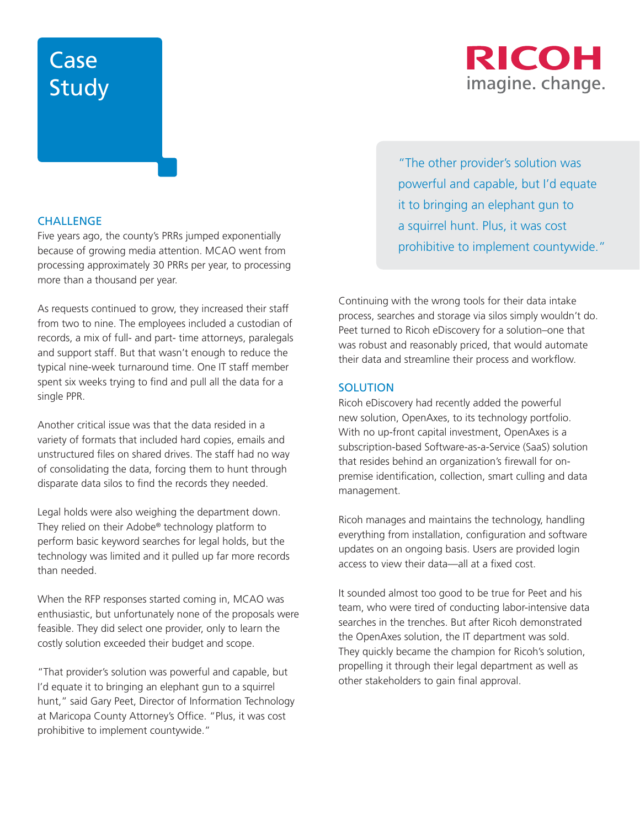# Case Study

### **CHALLENGE**

Five years ago, the county's PRRs jumped exponentially because of growing media attention. MCAO went from processing approximately 30 PRRs per year, to processing more than a thousand per year.

As requests continued to grow, they increased their staff from two to nine. The employees included a custodian of records, a mix of full- and part- time attorneys, paralegals and support staff. But that wasn't enough to reduce the typical nine-week turnaround time. One IT staff member spent six weeks trying to find and pull all the data for a single PPR.

Another critical issue was that the data resided in a variety of formats that included hard copies, emails and unstructured files on shared drives. The staff had no way of consolidating the data, forcing them to hunt through disparate data silos to find the records they needed.

Legal holds were also weighing the department down. They relied on their Adobe® technology platform to perform basic keyword searches for legal holds, but the technology was limited and it pulled up far more records than needed.

When the RFP responses started coming in, MCAO was enthusiastic, but unfortunately none of the proposals were feasible. They did select one provider, only to learn the costly solution exceeded their budget and scope.

"That provider's solution was powerful and capable, but I'd equate it to bringing an elephant gun to a squirrel hunt," said Gary Peet, Director of Information Technology at Maricopa County Attorney's Office. "Plus, it was cost prohibitive to implement countywide."

"The other provider's solution was powerful and capable, but I'd equate it to bringing an elephant gun to a squirrel hunt. Plus, it was cost prohibitive to implement countywide."

Continuing with the wrong tools for their data intake process, searches and storage via silos simply wouldn't do. Peet turned to Ricoh eDiscovery for a solution–one that was robust and reasonably priced, that would automate their data and streamline their process and workflow.

#### **SOLUTION**

Ricoh eDiscovery had recently added the powerful new solution, OpenAxes, to its technology portfolio. With no up-front capital investment, OpenAxes is a subscription-based Software-as-a-Service (SaaS) solution that resides behind an organization's firewall for onpremise identification, collection, smart culling and data management.

Ricoh manages and maintains the technology, handling everything from installation, configuration and software updates on an ongoing basis. Users are provided login access to view their data—all at a fixed cost.

It sounded almost too good to be true for Peet and his team, who were tired of conducting labor-intensive data searches in the trenches. But after Ricoh demonstrated the OpenAxes solution, the IT department was sold. They quickly became the champion for Ricoh's solution, propelling it through their legal department as well as other stakeholders to gain final approval.

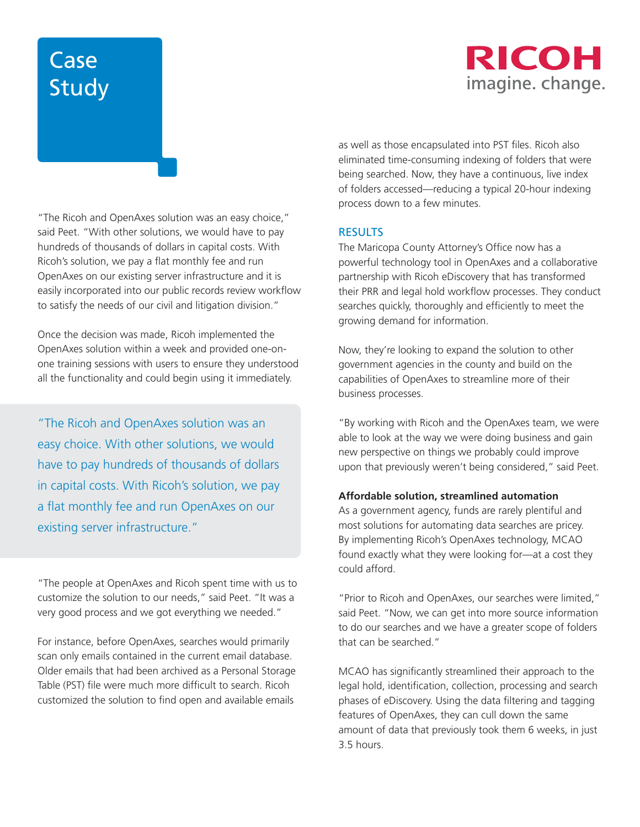# RICOH imagine. change.

# Case Study

"The Ricoh and OpenAxes solution was an easy choice," said Peet. "With other solutions, we would have to pay hundreds of thousands of dollars in capital costs. With Ricoh's solution, we pay a flat monthly fee and run OpenAxes on our existing server infrastructure and it is easily incorporated into our public records review workflow to satisfy the needs of our civil and litigation division."

Once the decision was made, Ricoh implemented the OpenAxes solution within a week and provided one-onone training sessions with users to ensure they understood all the functionality and could begin using it immediately.

"The Ricoh and OpenAxes solution was an easy choice. With other solutions, we would have to pay hundreds of thousands of dollars in capital costs. With Ricoh's solution, we pay a flat monthly fee and run OpenAxes on our existing server infrastructure."

"The people at OpenAxes and Ricoh spent time with us to customize the solution to our needs," said Peet. "It was a very good process and we got everything we needed."

For instance, before OpenAxes, searches would primarily scan only emails contained in the current email database. Older emails that had been archived as a Personal Storage Table (PST) file were much more difficult to search. Ricoh customized the solution to find open and available emails

as well as those encapsulated into PST files. Ricoh also eliminated time-consuming indexing of folders that were being searched. Now, they have a continuous, live index of folders accessed—reducing a typical 20-hour indexing process down to a few minutes.

### RESULTS

The Maricopa County Attorney's Office now has a powerful technology tool in OpenAxes and a collaborative partnership with Ricoh eDiscovery that has transformed their PRR and legal hold workflow processes. They conduct searches quickly, thoroughly and efficiently to meet the growing demand for information.

Now, they're looking to expand the solution to other government agencies in the county and build on the capabilities of OpenAxes to streamline more of their business processes.

"By working with Ricoh and the OpenAxes team, we were able to look at the way we were doing business and gain new perspective on things we probably could improve upon that previously weren't being considered," said Peet.

### **Affordable solution, streamlined automation**

As a government agency, funds are rarely plentiful and most solutions for automating data searches are pricey. By implementing Ricoh's OpenAxes technology, MCAO found exactly what they were looking for—at a cost they could afford.

"Prior to Ricoh and OpenAxes, our searches were limited," said Peet. "Now, we can get into more source information to do our searches and we have a greater scope of folders that can be searched."

MCAO has significantly streamlined their approach to the legal hold, identification, collection, processing and search phases of eDiscovery. Using the data filtering and tagging features of OpenAxes, they can cull down the same amount of data that previously took them 6 weeks, in just 3.5 hours.